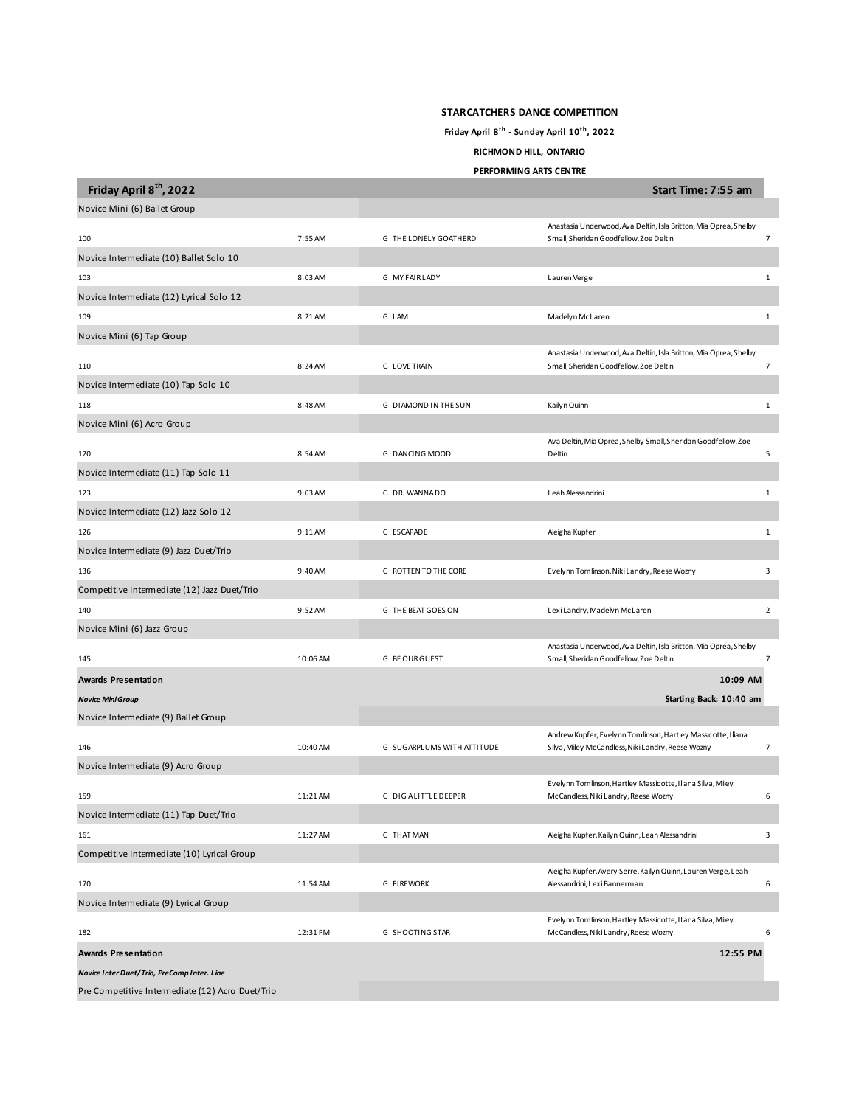## **STARCATCHERS DANCE COMPETITION**

**Friday April 8th - Sunday April 10th, 2022**

## **RICHMOND HILL, ONTARIO**

**PERFORMING ARTS CENTRE**

| Friday April 8 <sup>th</sup> , 2022              |          |                            | Start Time: 7:55 am                                                                                                |                |
|--------------------------------------------------|----------|----------------------------|--------------------------------------------------------------------------------------------------------------------|----------------|
| Novice Mini (6) Ballet Group                     |          |                            |                                                                                                                    |                |
| 100                                              | 7:55 AM  | G THE LONELY GOATHERD      | Anastasia Underwood, Ava Deltin, Isla Britton, Mia Oprea, Shelby<br>Small, Sheridan Goodfellow, Zoe Deltin         | $\overline{7}$ |
| Novice Intermediate (10) Ballet Solo 10          |          |                            |                                                                                                                    |                |
| 103                                              | 8:03 AM  | G MY FAIRLADY              | Lauren Verge                                                                                                       | $\mathbf{1}$   |
| Novice Intermediate (12) Lyrical Solo 12         |          |                            |                                                                                                                    |                |
| 109                                              | 8:21 AM  | G I AM                     | Madelyn McLaren                                                                                                    | 1              |
| Novice Mini (6) Tap Group                        |          |                            |                                                                                                                    |                |
| 110                                              | 8:24 AM  | <b>G LOVE TRAIN</b>        | Anastasia Underwood, Ava Deltin, Isla Britton, Mia Oprea, Shelby<br>Small, Sheridan Goodfellow, Zoe Deltin         | $\overline{7}$ |
| Novice Intermediate (10) Tap Solo 10             |          |                            |                                                                                                                    |                |
| 118                                              | 8:48 AM  | G DIAMOND IN THE SUN       | Kailyn Quinn                                                                                                       | 1              |
| Novice Mini (6) Acro Group                       |          |                            |                                                                                                                    |                |
| 120                                              | 8:54 AM  | G DANCING MOOD             | Ava Deltin, Mia Oprea, Shelby Small, Sheridan Goodfellow, Zoe<br>Deltin                                            | 5              |
| Novice Intermediate (11) Tap Solo 11             |          |                            |                                                                                                                    |                |
| 123                                              | 9:03 AM  | G DR. WANNADO              | Leah Alessandrini                                                                                                  | $\mathbf{1}$   |
| Novice Intermediate (12) Jazz Solo 12            |          |                            |                                                                                                                    |                |
| 126                                              | 9:11 AM  | G ESCAPADE                 | Aleigha Kupfer                                                                                                     | $\,1\,$        |
| Novice Intermediate (9) Jazz Duet/Trio           |          |                            |                                                                                                                    |                |
| 136                                              | 9:40 AM  | G ROTTEN TO THE CORE       | Evelynn Tomlinson, Niki Landry, Reese Wozny                                                                        | $\mathsf 3$    |
| Competitive Intermediate (12) Jazz Duet/Trio     |          |                            |                                                                                                                    |                |
| 140                                              | 9:52 AM  | G THE BEAT GOES ON         | LexiLandry, Madelyn McLaren                                                                                        | $\overline{2}$ |
| Novice Mini (6) Jazz Group                       |          |                            |                                                                                                                    |                |
| 145                                              | 10:06 AM | G BE OUR GUEST             | Anastasia Underwood, Ava Deltin, Isla Britton, Mia Oprea, Shelby<br>Small, Sheridan Goodfellow, Zoe Deltin         | $\overline{7}$ |
| <b>Awards Presentation</b>                       |          |                            | 10:09 AM                                                                                                           |                |
| <b>Novice Mini Group</b>                         |          |                            | Starting Back: 10:40 am                                                                                            |                |
| Novice Intermediate (9) Ballet Group             |          |                            |                                                                                                                    |                |
| 146                                              | 10:40 AM | G SUGARPLUMS WITH ATTITUDE | Andrew Kupfer, Evelynn Tomlinson, Hartley Massicotte, I liana<br>Silva, Miley McCandless, Niki Landry, Reese Wozny | $\overline{7}$ |
| Novice Intermediate (9) Acro Group               |          |                            |                                                                                                                    |                |
|                                                  |          |                            | Evelynn Tomlinson, Hartley Massicotte, I liana Silva, Miley                                                        |                |
| 159                                              | 11:21 AM | G DIG ALITTLE DEEPER       | McCandless, Niki Landry, Reese Wozny                                                                               | 6              |
| Novice Intermediate (11) Tap Duet/Trio           |          |                            |                                                                                                                    |                |
| 161                                              | 11:27 AM | G THAT MAN                 | Aleigha Kupfer, Kailyn Quinn, Leah Alessandrini                                                                    | 3              |
| Competitive Intermediate (10) Lyrical Group      |          |                            |                                                                                                                    |                |
| 170                                              | 11:54 AM | <b>G FIREWORK</b>          | Aleigha Kupfer, Avery Serre, Kailyn Quinn, Lauren Verge, Leah<br>Alessandrini, Lexi Bannerman                      | 6              |
| Novice Intermediate (9) Lyrical Group            |          |                            |                                                                                                                    |                |
| 182                                              | 12:31 PM | G SHOOTING STAR            | Evelynn Tomlinson, Hartley Massicotte, I liana Silva, Miley<br>McCandless, Niki Landry, Reese Wozny                | 6              |
| <b>Awards Presentation</b>                       |          |                            | 12:55 PM                                                                                                           |                |
| Novice Inter Duet/Trio, PreComp Inter. Line      |          |                            |                                                                                                                    |                |
| Pre Competitive Intermediate (12) Acro Duet/Trio |          |                            |                                                                                                                    |                |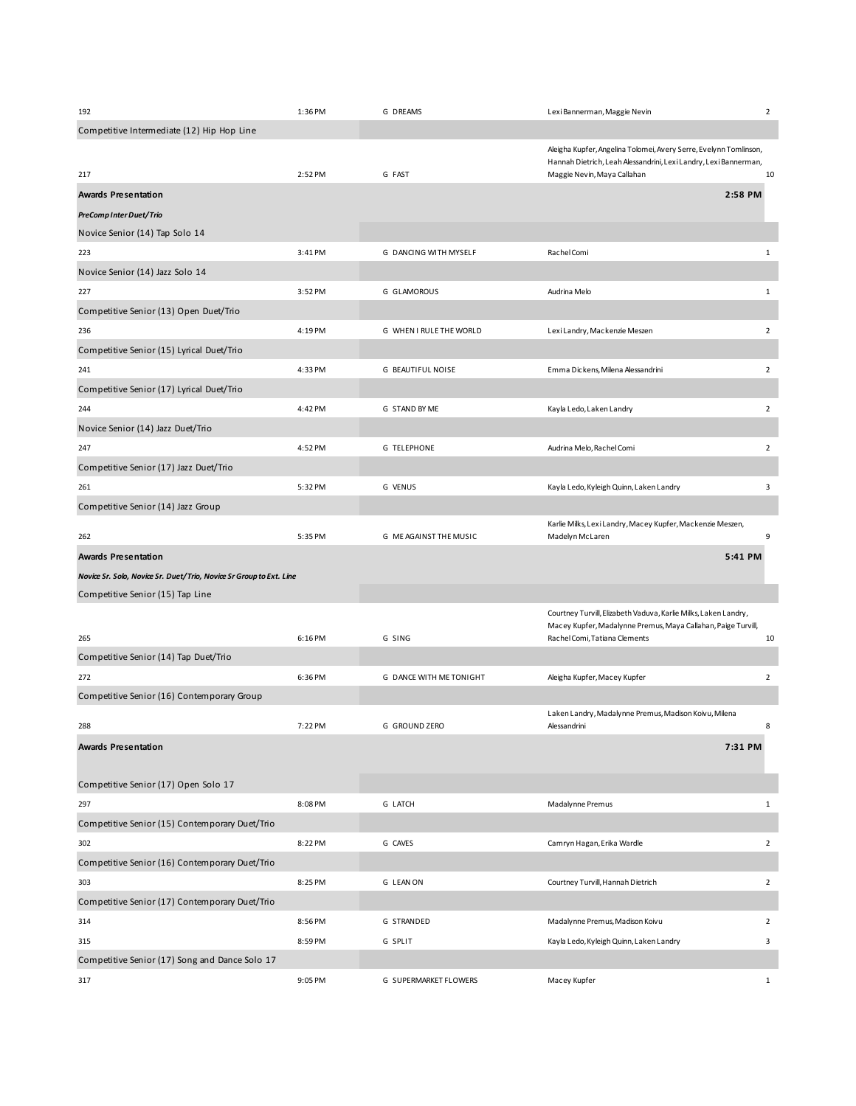| 192                                                                 | 1:36 PM | G DREAMS                | Lexi Bannerman, Maggie Nevin                                                                                                                                         | $\overline{2}$ |
|---------------------------------------------------------------------|---------|-------------------------|----------------------------------------------------------------------------------------------------------------------------------------------------------------------|----------------|
| Competitive Intermediate (12) Hip Hop Line                          |         |                         |                                                                                                                                                                      |                |
| 217                                                                 | 2:52 PM | G FAST                  | Aleigha Kupfer, Angelina Tolomei, Avery Serre, Evelynn Tomlinson,<br>Hannah Dietrich, Leah Alessandrini, Lexi Landry, Lexi Bannerman,<br>Maggie Nevin, Maya Callahan | 10             |
| Awards Presentation                                                 |         |                         | 2:58 PM                                                                                                                                                              |                |
| PreComp Inter Duet/Trio                                             |         |                         |                                                                                                                                                                      |                |
| Novice Senior (14) Tap Solo 14                                      |         |                         |                                                                                                                                                                      |                |
| 223                                                                 | 3:41 PM | G DANCING WITH MYSELF   | Rachel Comi                                                                                                                                                          | $\mathbf{1}$   |
| Novice Senior (14) Jazz Solo 14                                     |         |                         |                                                                                                                                                                      |                |
| 227                                                                 | 3:52 PM | G GLAMOROUS             | Audrina Melo                                                                                                                                                         | $\mathbf{1}$   |
| Competitive Senior (13) Open Duet/Trio                              |         |                         |                                                                                                                                                                      |                |
| 236                                                                 | 4:19 PM | G WHEN I RULE THE WORLD | Lexi Landry, Mackenzie Meszen                                                                                                                                        | $\overline{2}$ |
| Competitive Senior (15) Lyrical Duet/Trio                           |         |                         |                                                                                                                                                                      |                |
| 241                                                                 | 4:33 PM | G BEAUTIFUL NOISE       | Emma Dickens, Milena Alessandrini                                                                                                                                    | $\overline{2}$ |
| Competitive Senior (17) Lyrical Duet/Trio                           |         |                         |                                                                                                                                                                      |                |
| 244                                                                 | 4:42 PM | G STAND BY ME           | Kayla Ledo, Laken Landry                                                                                                                                             | $\overline{2}$ |
| Novice Senior (14) Jazz Duet/Trio                                   |         |                         |                                                                                                                                                                      |                |
| 247                                                                 | 4:52 PM | <b>G TELEPHONE</b>      | Audrina Melo, Rachel Comi                                                                                                                                            | $\overline{2}$ |
| Competitive Senior (17) Jazz Duet/Trio                              |         |                         |                                                                                                                                                                      |                |
| 261                                                                 | 5:32 PM | <b>G VENUS</b>          | Kayla Ledo, Kyleigh Quinn, Laken Landry                                                                                                                              | 3              |
| Competitive Senior (14) Jazz Group                                  |         |                         |                                                                                                                                                                      |                |
|                                                                     |         |                         | Karlie Milks, Lexi Landry, Macey Kupfer, Mackenzie Meszen,                                                                                                           |                |
| 262                                                                 | 5:35 PM | G ME AGAINST THE MUSIC  | Madelyn McLaren                                                                                                                                                      | 9              |
| Awards Presentation                                                 |         |                         | 5:41 PM                                                                                                                                                              |                |
| Novice Sr. Solo, Novice Sr. Duet/Trio, Novice Sr Group to Ext. Line |         |                         |                                                                                                                                                                      |                |
| Competitive Senior (15) Tap Line                                    |         |                         |                                                                                                                                                                      |                |
|                                                                     |         |                         | Courtney Turvill, Elizabeth Vaduva, Karlie Milks, Laken Landry,                                                                                                      |                |
| 265                                                                 | 6:16 PM | G SING                  | Macey Kupfer, Madalynne Premus, Maya Callahan, Paige Turvill,<br>Rachel Comi, Tatiana Clements                                                                       | 10             |
| Competitive Senior (14) Tap Duet/Trio                               |         |                         |                                                                                                                                                                      |                |
| 272                                                                 | 6:36 PM | G DANCE WITH METONIGHT  | Aleigha Kupfer, Macey Kupfer                                                                                                                                         | $\overline{2}$ |
| Competitive Senior (16) Contemporary Group                          |         |                         |                                                                                                                                                                      |                |
|                                                                     |         |                         | Laken Landry, Madalynne Premus, Madison Koivu, Milena                                                                                                                |                |
| 288                                                                 | 7:22 PM | G GROUND ZERO           | Alessandrini                                                                                                                                                         | 8              |
| Awards Presentation                                                 |         |                         | 7:31 PM                                                                                                                                                              |                |
|                                                                     |         |                         |                                                                                                                                                                      |                |
| Competitive Senior (17) Open Solo 17                                |         |                         |                                                                                                                                                                      |                |
| 297                                                                 | 8:08 PM | G LATCH                 | Madalynne Premus                                                                                                                                                     | $\mathbf{1}$   |
| Competitive Senior (15) Contemporary Duet/Trio                      |         |                         |                                                                                                                                                                      |                |
| 302                                                                 | 8:22 PM | G CAVES                 | Camryn Hagan, Erika Wardle                                                                                                                                           | $\overline{2}$ |
| Competitive Senior (16) Contemporary Duet/Trio                      |         |                         |                                                                                                                                                                      |                |
| 303                                                                 | 8:25 PM | G LEAN ON               | Courtney Turvill, Hannah Dietrich                                                                                                                                    | $\overline{2}$ |
| Competitive Senior (17) Contemporary Duet/Trio                      |         |                         |                                                                                                                                                                      |                |
|                                                                     |         |                         |                                                                                                                                                                      |                |
| 314                                                                 | 8:56 PM | G STRANDED              | Madalynne Premus, Madison Koivu                                                                                                                                      | $\overline{2}$ |
| 315                                                                 | 8:59 PM | G SPLIT                 | Kayla Ledo, Kyleigh Quinn, Laken Landry                                                                                                                              | 3              |
| Competitive Senior (17) Song and Dance Solo 17                      |         |                         |                                                                                                                                                                      |                |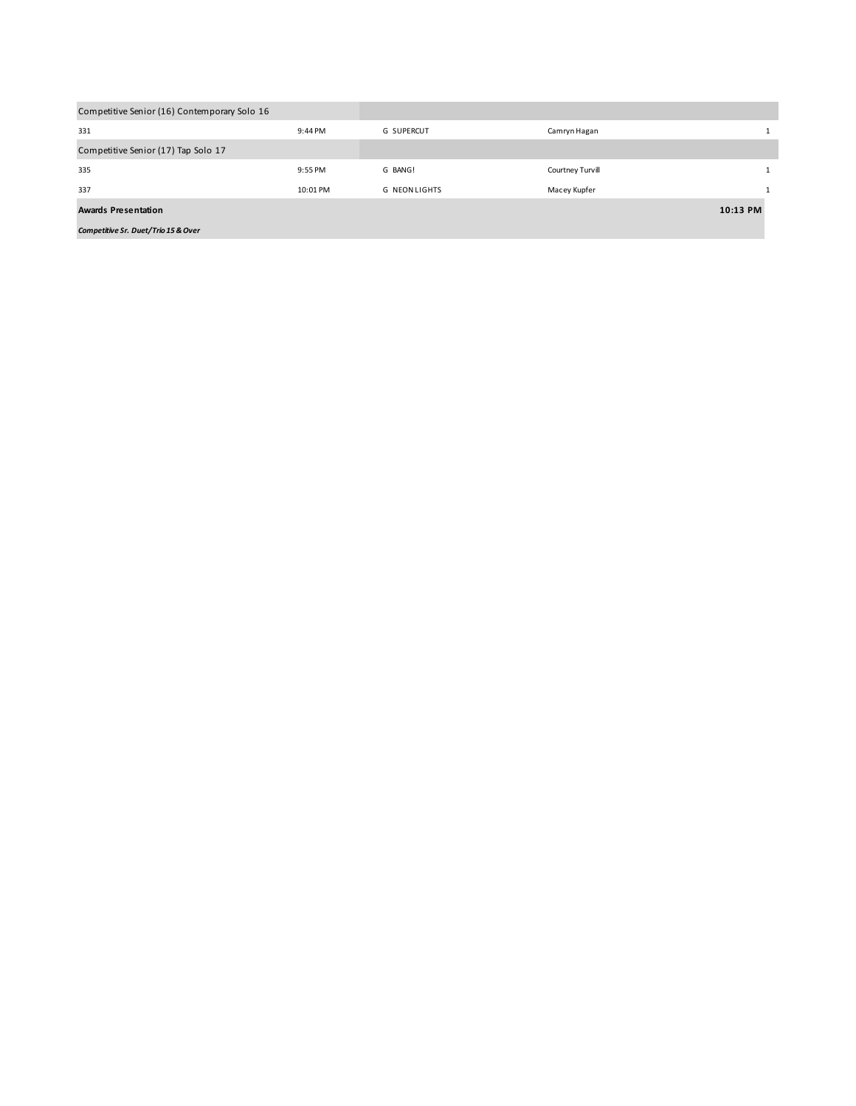| Competitive Senior (16) Contemporary Solo 16 |          |                   |                  |          |
|----------------------------------------------|----------|-------------------|------------------|----------|
| 331                                          | 9:44 PM  | <b>G SUPERCUT</b> | Camryn Hagan     | 1        |
| Competitive Senior (17) Tap Solo 17          |          |                   |                  |          |
| 335                                          | 9:55 PM  | G BANG!           | Courtney Turvill | 1        |
| 337                                          | 10:01 PM | G NEON LIGHTS     | Macey Kupfer     |          |
| <b>Awards Presentation</b>                   |          |                   |                  | 10:13 PM |
| Competitive Sr. Duet/Trio 15 & Over          |          |                   |                  |          |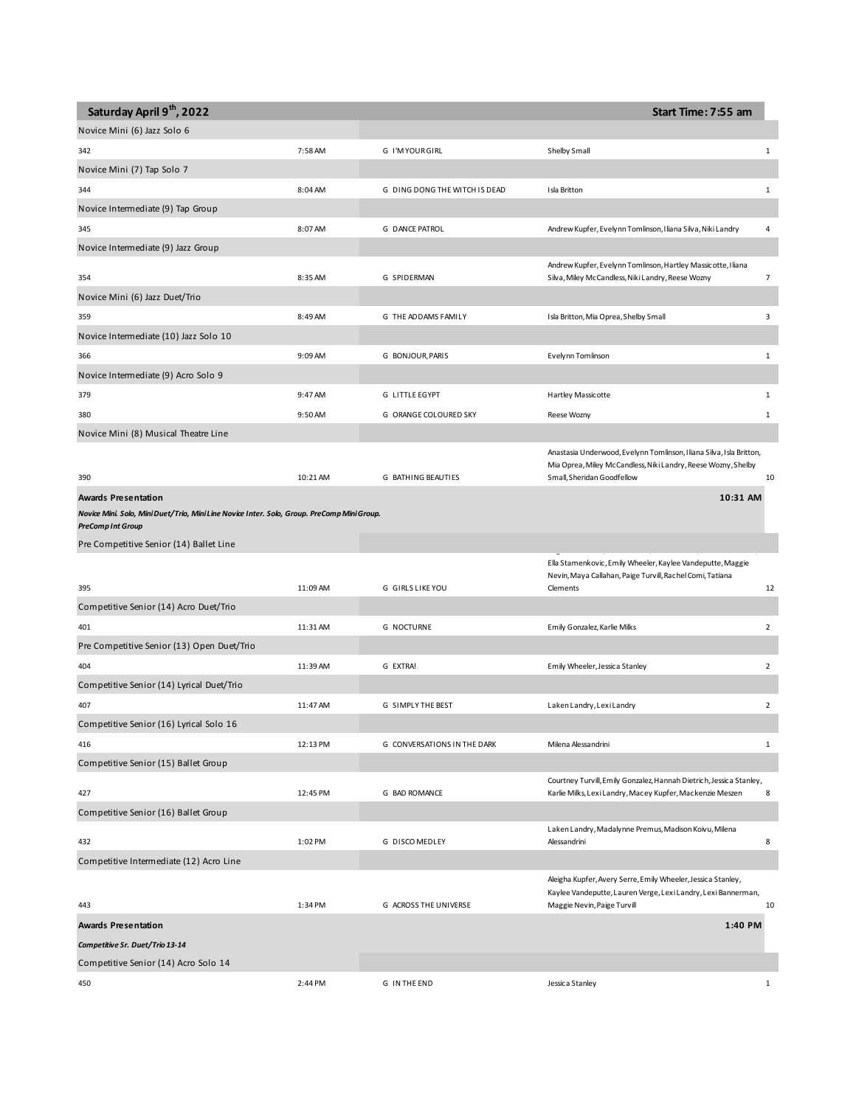| Saturday April 9th, 2022                                                                    |          |                               | Start Time: 7:55 am                                                                                                                    |                |
|---------------------------------------------------------------------------------------------|----------|-------------------------------|----------------------------------------------------------------------------------------------------------------------------------------|----------------|
| Novice Mini (6) Jazz Solo 6                                                                 |          |                               |                                                                                                                                        |                |
| 342                                                                                         | 7:58 AM  | G I'MYOURGIRL                 | Shelby Small                                                                                                                           | $\mathbf{1}$   |
| Novice Mini (7) Tap Solo 7                                                                  |          |                               |                                                                                                                                        |                |
| 344                                                                                         | 8:04 AM  | G DING DONG THE WITCH IS DEAD | Isla Britton                                                                                                                           | 1              |
| Novice Intermediate (9) Tap Group                                                           |          |                               |                                                                                                                                        |                |
| 345                                                                                         | 8:07 AM  | <b>G DANCE PATROL</b>         | Andrew Kupfer, Evelynn Tomlinson, I liana Silva, Niki Landry                                                                           | 4              |
| Novice Intermediate (9) Jazz Group                                                          |          |                               |                                                                                                                                        |                |
|                                                                                             |          |                               | Andrew Kupfer, Evelynn Tomlinson, Hartley Massicotte, Iliana                                                                           |                |
| 354                                                                                         | 8:35 AM  | G SPIDERMAN                   | Silva, Miley McCandless, Niki Landry, Reese Wozny                                                                                      | $\overline{7}$ |
| Novice Mini (6) Jazz Duet/Trio                                                              |          |                               |                                                                                                                                        |                |
| 359                                                                                         | 8:49 AM  | G THE ADDAMS FAMILY           | Isla Britton, Mia Oprea, Shelby Small                                                                                                  | 3              |
| Novice Intermediate (10) Jazz Solo 10                                                       |          |                               |                                                                                                                                        |                |
| 366                                                                                         | 9:09 AM  | G BONJOUR, PARIS              | Evelynn Tomlinson                                                                                                                      | $\mathbf{1}$   |
| Novice Intermediate (9) Acro Solo 9                                                         |          |                               |                                                                                                                                        |                |
| 379                                                                                         | 9:47 AM  | G LITTLE EGYPT                | Hartley Massicotte                                                                                                                     | 1              |
| 380                                                                                         | 9:50 AM  | G ORANGE COLOURED SKY         | Reese Wozny                                                                                                                            | $\mathbf 1$    |
| Novice Mini (8) Musical Theatre Line                                                        |          |                               |                                                                                                                                        |                |
|                                                                                             |          |                               | Anastasia Underwood, Evelynn Tomlinson, I liana Silva, I sla Britton,<br>Mia Oprea, Miley McCandless, Niki Landry, Reese Wozny, Shelby |                |
| 390                                                                                         | 10:21 AM | <b>G BATHING BEAUTIES</b>     | Small, Sheridan Goodfellow                                                                                                             | 10             |
| Awards Presentation                                                                         |          |                               | 10:31 AM                                                                                                                               |                |
| Novice Mini. Solo, Mini Duet/Trio, Mini Line Novice Inter. Solo, Group. PreComp Mini Group. |          |                               |                                                                                                                                        |                |
| <b>PreComp Int Group</b><br>Pre Competitive Senior (14) Ballet Line                         |          |                               |                                                                                                                                        |                |
|                                                                                             |          |                               | Ella Stamenkovic, Emily Wheeler, Kaylee Vandeputte, Maggie                                                                             |                |
|                                                                                             |          |                               | Nevin, Maya Callahan, Paige Turvill, Rachel Comi, Tatiana                                                                              |                |
| 395                                                                                         | 11:09 AM | G GIRLS LIKE YOU              | Clements                                                                                                                               | 12             |
| Competitive Senior (14) Acro Duet/Trio                                                      |          |                               |                                                                                                                                        |                |
| 401                                                                                         | 11:31 AM | <b>G NOCTURNE</b>             | Emily Gonzalez, Karlie Milks                                                                                                           | $\overline{2}$ |
| Pre Competitive Senior (13) Open Duet/Trio                                                  |          |                               |                                                                                                                                        |                |
| 404                                                                                         | 11:39 AM | G EXTRA!                      | Emily Wheeler, Jessica Stanley                                                                                                         | $\overline{2}$ |
| Competitive Senior (14) Lyrical Duet/Trio                                                   |          |                               |                                                                                                                                        |                |
| 407                                                                                         | 11:47 AM | <b>G SIMPLY THE BEST</b>      | Laken Landry, Lexi Landry                                                                                                              | $\overline{2}$ |
| Competitive Senior (16) Lyrical Solo 16                                                     |          |                               |                                                                                                                                        |                |
| 416                                                                                         | 12:13 PM | G CONVERSATIONS IN THE DARK   | Milena Alessandrini                                                                                                                    | 1              |
| Competitive Senior (15) Ballet Group                                                        |          |                               |                                                                                                                                        |                |
| 427                                                                                         | 12:45 PM | <b>G BAD ROMANCE</b>          | Courtney Turvill, Emily Gonzalez, Hannah Dietrich, Jessica Stanley,<br>Karlie Milks, Lexi Landry, Macey Kupfer, Mackenzie Meszen       | 8              |
| Competitive Senior (16) Ballet Group                                                        |          |                               |                                                                                                                                        |                |
|                                                                                             |          |                               | Laken Landry, Madalynne Premus, Madison Koivu, Milena                                                                                  |                |
| 432                                                                                         | 1:02 PM  | G DISCO MEDLEY                | Alessandrini                                                                                                                           | 8              |
| Competitive Intermediate (12) Acro Line                                                     |          |                               |                                                                                                                                        |                |
|                                                                                             |          |                               | Aleigha Kupfer, Avery Serre, Emily Wheeler, Jessica Stanley,<br>Kaylee Vandeputte, Lauren Verge, Lexi Landry, Lexi Bannerman,          |                |
| 443                                                                                         | 1:34 PM  | G ACROSS THE UNIVERSE         | Maggie Nevin, Paige Turvill                                                                                                            | 10             |
| <b>Awards Presentation</b>                                                                  |          |                               | 1:40 PM                                                                                                                                |                |
| Competitive Sr. Duet/Trio 13-14                                                             |          |                               |                                                                                                                                        |                |
| Competitive Senior (14) Acro Solo 14                                                        |          |                               |                                                                                                                                        |                |
| 450                                                                                         | 2:44 PM  | G IN THE END                  | Jessica Stanley                                                                                                                        | 1              |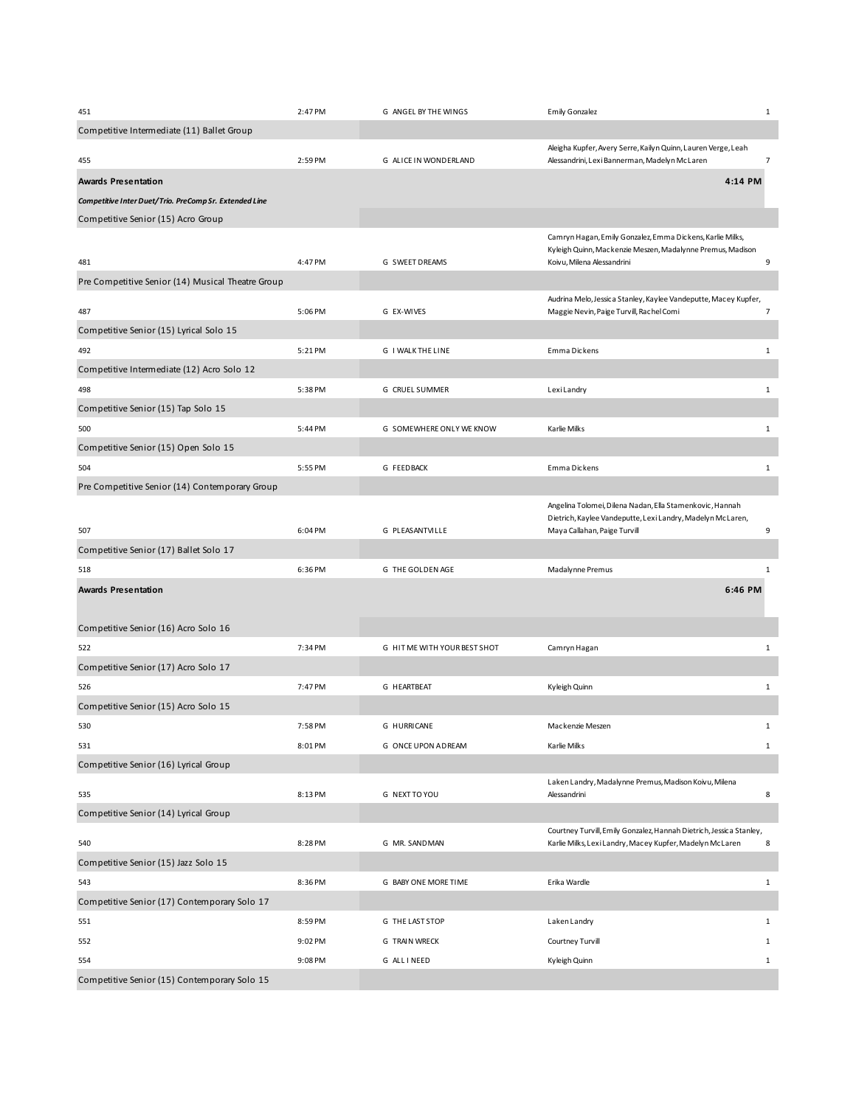| 451                                                    | 2:47 PM | G ANGEL BY THE WINGS         | <b>Emily Gonzalez</b>                                                                                                           | $\mathbf{1}$   |
|--------------------------------------------------------|---------|------------------------------|---------------------------------------------------------------------------------------------------------------------------------|----------------|
| Competitive Intermediate (11) Ballet Group             |         |                              |                                                                                                                                 |                |
| 455                                                    | 2:59 PM | G ALICE IN WONDERLAND        | Aleigha Kupfer, Avery Serre, Kailyn Quinn, Lauren Verge, Leah<br>Alessandrini, Lexi Bannerman, Madelyn McLaren                  | $\overline{7}$ |
| Awards Presentation                                    |         |                              | 4:14 PM                                                                                                                         |                |
| Competitive Inter Duet/Trio. PreComp Sr. Extended Line |         |                              |                                                                                                                                 |                |
| Competitive Senior (15) Acro Group                     |         |                              |                                                                                                                                 |                |
|                                                        |         |                              | Camryn Hagan, Emily Gonzalez, Emma Dickens, Karlie Milks,                                                                       |                |
| 481                                                    | 4:47 PM | G SWEET DREAMS               | Kyleigh Quinn, Mackenzie Meszen, Madalynne Premus, Madison<br>Koivu, Milena Alessandrini                                        | 9              |
| Pre Competitive Senior (14) Musical Theatre Group      |         |                              |                                                                                                                                 |                |
|                                                        |         |                              | Audrina Melo, Jessica Stanley, Kaylee Vandeputte, Macey Kupfer,                                                                 |                |
| 487                                                    | 5:06 PM | G EX-WIVES                   | Maggie Nevin, Paige Turvill, Rachel Comi                                                                                        | $\overline{7}$ |
| Competitive Senior (15) Lyrical Solo 15                |         |                              |                                                                                                                                 |                |
| 492                                                    | 5:21 PM | G I WALK THE LINE            | Emma Dickens                                                                                                                    | $\mathbf{1}$   |
| Competitive Intermediate (12) Acro Solo 12             |         |                              |                                                                                                                                 |                |
| 498                                                    | 5:38 PM | G CRUEL SUMMER               | LexiLandry                                                                                                                      | $\mathbf{1}$   |
| Competitive Senior (15) Tap Solo 15                    |         |                              |                                                                                                                                 |                |
| 500                                                    | 5:44 PM | G SOMEWHERE ONLY WE KNOW     | Karlie Milks                                                                                                                    | $\mathbf{1}$   |
| Competitive Senior (15) Open Solo 15                   |         |                              |                                                                                                                                 |                |
| 504                                                    | 5:55 PM | <b>G FEEDBACK</b>            | Emma Dickens                                                                                                                    | $\mathbf{1}$   |
| Pre Competitive Senior (14) Contemporary Group         |         |                              |                                                                                                                                 |                |
|                                                        |         |                              | Angelina Tolomei, Dilena Nadan, Ella Stamenkovic, Hannah                                                                        |                |
| 507                                                    | 6:04 PM | G PLEASANTVILLE              | Dietrich, Kaylee Vandeputte, Lexi Landry, Madelyn McLaren,<br>Maya Callahan, Paige Turvill                                      | 9              |
| Competitive Senior (17) Ballet Solo 17                 |         |                              |                                                                                                                                 |                |
| 518                                                    | 6:36 PM | G THE GOLDEN AGE             | Madalynne Premus                                                                                                                | 1              |
| Awards Presentation                                    |         |                              | 6:46 PM                                                                                                                         |                |
|                                                        |         |                              |                                                                                                                                 |                |
| Competitive Senior (16) Acro Solo 16                   |         |                              |                                                                                                                                 |                |
| 522                                                    | 7:34 PM | G HIT ME WITH YOUR BEST SHOT | Camryn Hagan                                                                                                                    | $\mathbf{1}$   |
| Competitive Senior (17) Acro Solo 17                   |         |                              |                                                                                                                                 |                |
| 526                                                    | 7:47 PM | G HEARTBEAT                  | Kyleigh Quinn                                                                                                                   | $\mathbf{1}$   |
| Competitive Senior (15) Acro Solo 15                   |         |                              |                                                                                                                                 |                |
| 530                                                    | 7:58 PM | G HURRICANE                  | Mackenzie Meszen                                                                                                                | 1              |
| 531                                                    | 8:01 PM | G ONCE UPON A DREAM          | Karlie Milks                                                                                                                    | $\mathbf{1}$   |
| Competitive Senior (16) Lyrical Group                  |         |                              |                                                                                                                                 |                |
|                                                        |         |                              | Laken Landry, Madalynne Premus, Madison Koivu, Milena                                                                           |                |
| 535                                                    | 8:13 PM | G NEXT TO YOU                | Alessandrini                                                                                                                    | 8              |
| Competitive Senior (14) Lyrical Group                  |         |                              |                                                                                                                                 |                |
| 540                                                    | 8:28 PM | G MR. SANDMAN                | Courtney Turvill, Emily Gonzalez, Hannah Dietrich, Jessica Stanley,<br>Karlie Milks, Lexi Landry, Macey Kupfer, Madelyn McLaren | 8              |
| Competitive Senior (15) Jazz Solo 15                   |         |                              |                                                                                                                                 |                |
| 543                                                    | 8:36 PM | G BABY ONE MORE TIME         | Erika Wardle                                                                                                                    | $\mathbf{1}$   |
| Competitive Senior (17) Contemporary Solo 17           |         |                              |                                                                                                                                 |                |
| 551                                                    | 8:59 PM | G THE LAST STOP              | Laken Landry                                                                                                                    | 1              |
| 552                                                    | 9:02 PM | G TRAIN WRECK                | Courtney Turvill                                                                                                                | $\mathbf{1}$   |
| 554                                                    | 9:08 PM | G ALL INEED                  | Kyleigh Quinn                                                                                                                   | 1              |
| Competitive Senior (15) Contemporary Solo 15           |         |                              |                                                                                                                                 |                |
|                                                        |         |                              |                                                                                                                                 |                |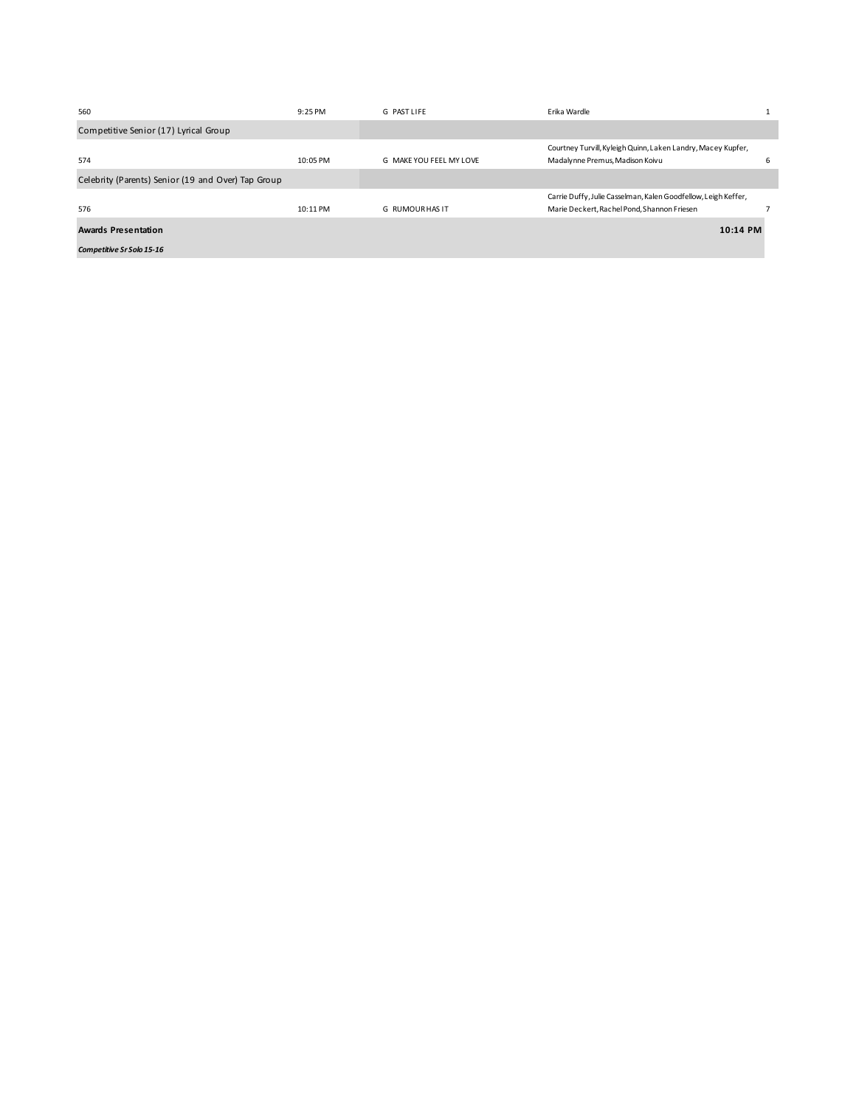| 560                                                | $9:25$ PM  | G PASTLIFF              | Erika Wardle                                                                                                  |   |
|----------------------------------------------------|------------|-------------------------|---------------------------------------------------------------------------------------------------------------|---|
| Competitive Senior (17) Lyrical Group              |            |                         |                                                                                                               |   |
| 574                                                | $10:05$ PM | G MAKE YOU FEEL MY LOVE | Courtney Turvill, Kyleigh Quinn, Laken Landry, Macey Kupfer,<br>Madalynne Premus, Madison Koivu               | 6 |
| Celebrity (Parents) Senior (19 and Over) Tap Group |            |                         |                                                                                                               |   |
| 576                                                | $10:11$ PM | <b>G RUMOUR HAS IT</b>  | Carrie Duffy, Julie Casselman, Kalen Goodfellow, Leigh Keffer,<br>Marie Deckert, Rachel Pond, Shannon Friesen |   |
| <b>Awards Presentation</b>                         |            |                         | 10:14 PM                                                                                                      |   |
| <b>Competitive Sr Solo 15-16</b>                   |            |                         |                                                                                                               |   |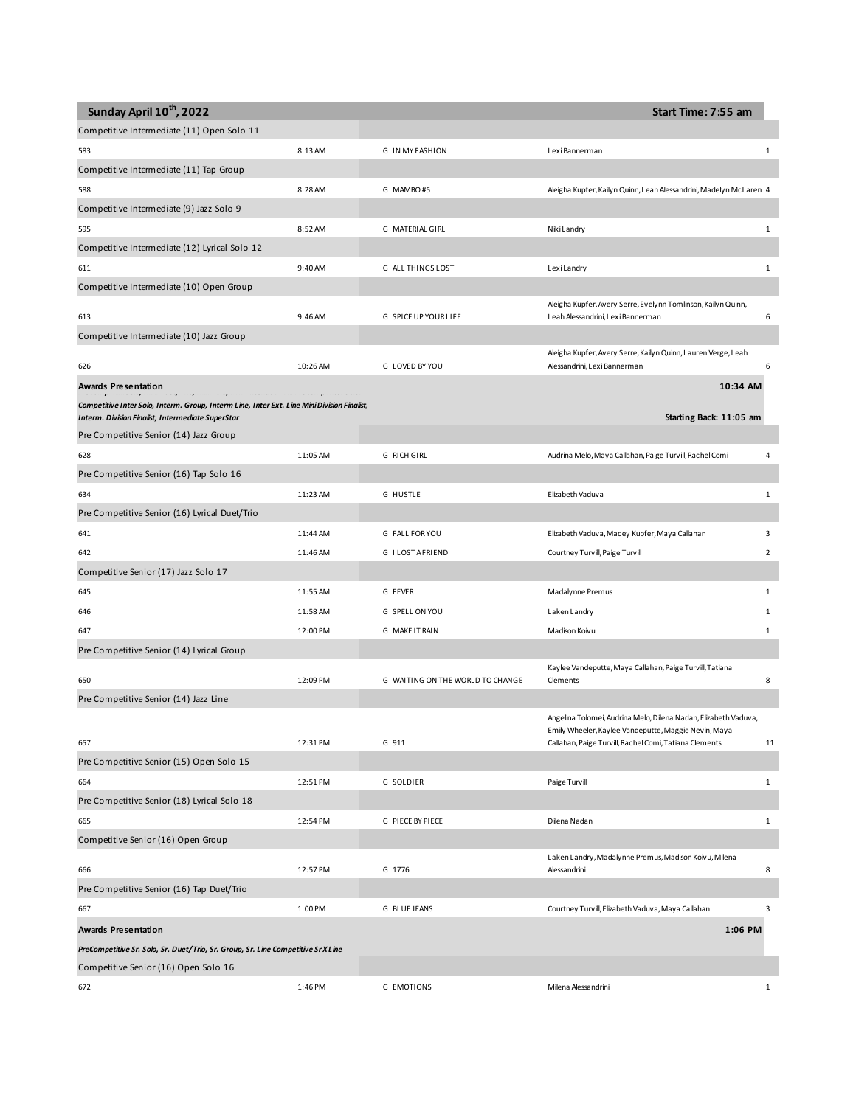| Sunday April 10th, 2022                                                                                                                                 |          |                                  | Start Time: 7:55 am                                                                                            |                |
|---------------------------------------------------------------------------------------------------------------------------------------------------------|----------|----------------------------------|----------------------------------------------------------------------------------------------------------------|----------------|
| Competitive Intermediate (11) Open Solo 11                                                                                                              |          |                                  |                                                                                                                |                |
| 583                                                                                                                                                     | 8:13 AM  | <b>G IN MY FASHION</b>           | Lexi Bannerman                                                                                                 | 1              |
| Competitive Intermediate (11) Tap Group                                                                                                                 |          |                                  |                                                                                                                |                |
| 588                                                                                                                                                     | 8:28 AM  | G MAMBO#5                        | Aleigha Kupfer, Kailyn Quinn, Leah Alessandrini, Madelyn McLaren 4                                             |                |
| Competitive Intermediate (9) Jazz Solo 9                                                                                                                |          |                                  |                                                                                                                |                |
| 595                                                                                                                                                     | 8:52 AM  | G MATERIAL GIRL                  | Niki Landry                                                                                                    | 1              |
| Competitive Intermediate (12) Lyrical Solo 12                                                                                                           |          |                                  |                                                                                                                |                |
| 611                                                                                                                                                     | 9:40 AM  | G ALL THINGS LOST                | LexiLandry                                                                                                     | 1              |
| Competitive Intermediate (10) Open Group                                                                                                                |          |                                  |                                                                                                                |                |
| 613                                                                                                                                                     | 9:46 AM  | <b>G SPICE UP YOUR LIFE</b>      | Aleigha Kupfer, Avery Serre, Evelynn Tomlinson, Kailyn Quinn,<br>Leah Alessandrini, Lexi Bannerman             | 6              |
| Competitive Intermediate (10) Jazz Group                                                                                                                |          |                                  |                                                                                                                |                |
|                                                                                                                                                         |          |                                  | Aleigha Kupfer, Avery Serre, Kailyn Quinn, Lauren Verge, Leah                                                  |                |
| 626                                                                                                                                                     | 10:26 AM | G LOVED BY YOU                   | Alessandrini, Lexi Bannerman                                                                                   | 6              |
| Awards Presentation                                                                                                                                     |          |                                  | 10:34 AM                                                                                                       |                |
| Competitive Inter Solo, Interm. Group, Interm Line, Inter Ext. Line Mini Division Finalist,<br><b>Interm. Division Finalist, Intermediate SuperStar</b> |          |                                  | Starting Back: 11:05 am                                                                                        |                |
| Pre Competitive Senior (14) Jazz Group                                                                                                                  |          |                                  |                                                                                                                |                |
| 628                                                                                                                                                     | 11:05 AM | G RICH GIRL                      | Audrina Melo, Maya Callahan, Paige Turvill, Rachel Comi                                                        | 4              |
| Pre Competitive Senior (16) Tap Solo 16                                                                                                                 |          |                                  |                                                                                                                |                |
| 634                                                                                                                                                     | 11:23 AM | <b>G HUSTLE</b>                  | Elizabeth Vaduva                                                                                               | 1              |
| Pre Competitive Senior (16) Lyrical Duet/Trio                                                                                                           |          |                                  |                                                                                                                |                |
| 641                                                                                                                                                     | 11:44 AM | G FALL FOR YOU                   | Elizabeth Vaduva, Macey Kupfer, Maya Callahan                                                                  | 3              |
| 642                                                                                                                                                     | 11:46 AM | G I LOST AFRIEND                 | Courtney Turvill, Paige Turvill                                                                                | $\overline{2}$ |
| Competitive Senior (17) Jazz Solo 17                                                                                                                    |          |                                  |                                                                                                                |                |
| 645                                                                                                                                                     | 11:55 AM | G FEVER                          | Madalynne Premus                                                                                               | 1              |
| 646                                                                                                                                                     | 11:58 AM | G SPELL ON YOU                   | Laken Landry                                                                                                   | 1              |
| 647                                                                                                                                                     | 12:00 PM | G MAKE IT RAIN                   | Madison Koivu                                                                                                  | $\mathbf{1}$   |
| Pre Competitive Senior (14) Lyrical Group                                                                                                               |          |                                  |                                                                                                                |                |
| 650                                                                                                                                                     | 12:09 PM | G WAITING ON THE WORLD TO CHANGE | Kaylee Vandeputte, Maya Callahan, Paige Turvill, Tatiana<br>Clements                                           | 8              |
| Pre Competitive Senior (14) Jazz Line                                                                                                                   |          |                                  |                                                                                                                |                |
|                                                                                                                                                         |          |                                  | Angelina Tolomei, Audrina Melo, Dilena Nadan, Elizabeth Vaduva,                                                |                |
| 657                                                                                                                                                     | 12:31 PM | G 911                            | Emily Wheeler, Kaylee Vandeputte, Maggie Nevin, Maya<br>Callahan, Paige Turvill, Rachel Comi, Tatiana Clements | 11             |
| Pre Competitive Senior (15) Open Solo 15                                                                                                                |          |                                  |                                                                                                                |                |
| 664                                                                                                                                                     | 12:51 PM | G SOLDIER                        | Paige Turvill                                                                                                  | $\mathbf{1}$   |
| Pre Competitive Senior (18) Lyrical Solo 18                                                                                                             |          |                                  |                                                                                                                |                |
| 665                                                                                                                                                     | 12:54 PM | G PIECE BY PIECE                 | Dilena Nadan                                                                                                   | $\mathbf{1}$   |
| Competitive Senior (16) Open Group                                                                                                                      |          |                                  |                                                                                                                |                |
|                                                                                                                                                         |          |                                  | Laken Landry, Madalynne Premus, Madison Koivu, Milena                                                          |                |
| 666                                                                                                                                                     | 12:57 PM | G 1776                           | Alessandrini                                                                                                   | 8              |
| Pre Competitive Senior (16) Tap Duet/Trio                                                                                                               |          |                                  |                                                                                                                |                |
| 667                                                                                                                                                     | 1:00 PM  | G BLUE JEANS                     | Courtney Turvill, Elizabeth Vaduva, Maya Callahan                                                              | 3              |
| Awards Presentation                                                                                                                                     |          |                                  | 1:06 PM                                                                                                        |                |
| PreCompetitive Sr. Solo, Sr. Duet/Trio, Sr. Group, Sr. Line Competitive Sr X Line                                                                       |          |                                  |                                                                                                                |                |
| Competitive Senior (16) Open Solo 16                                                                                                                    |          |                                  |                                                                                                                |                |
| 672                                                                                                                                                     | 1:46 PM  | <b>G EMOTIONS</b>                | Milena Alessandrini                                                                                            | $\mathbf{1}$   |